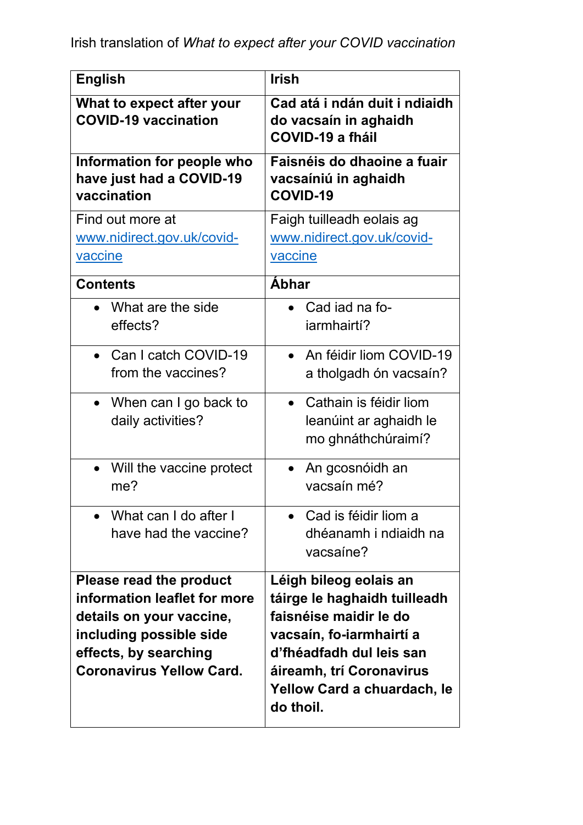| <b>English</b>                                                                                                                                                             | <b>Irish</b>                                                                                                                                                                                                     |
|----------------------------------------------------------------------------------------------------------------------------------------------------------------------------|------------------------------------------------------------------------------------------------------------------------------------------------------------------------------------------------------------------|
| What to expect after your<br><b>COVID-19 vaccination</b>                                                                                                                   | Cad atá i ndán duit i ndiaidh<br>do vacsaín in aghaidh<br><b>COVID-19 a fháil</b>                                                                                                                                |
| Information for people who<br>have just had a COVID-19<br>vaccination                                                                                                      | Faisnéis do dhaoine a fuair<br>vacsaíniú in aghaidh<br>COVID-19                                                                                                                                                  |
| Find out more at<br>www.nidirect.gov.uk/covid-<br>vaccine                                                                                                                  | Faigh tuilleadh eolais ag<br>www.nidirect.gov.uk/covid-<br>vaccine                                                                                                                                               |
| <b>Contents</b>                                                                                                                                                            | <b>Abhar</b>                                                                                                                                                                                                     |
| What are the side<br>effects?                                                                                                                                              | Cad iad na fo-<br>iarmhairtí?                                                                                                                                                                                    |
| Can I catch COVID-19<br>from the vaccines?                                                                                                                                 | An féidir liom COVID-19<br>a tholgadh ón vacsaín?                                                                                                                                                                |
| • When can I go back to<br>daily activities?                                                                                                                               | Cathain is féidir liom<br>leanúint ar aghaidh le<br>mo ghnáthchúraimí?                                                                                                                                           |
| • Will the vaccine protect<br>me?                                                                                                                                          | An gcosnóidh an<br>vacsaín mé?                                                                                                                                                                                   |
| What can I do after I<br>have had the vaccine?                                                                                                                             | Cad is féidir liom a<br>dhéanamh i ndiaidh na<br>vacsaine?                                                                                                                                                       |
| Please read the product<br>information leaflet for more<br>details on your vaccine,<br>including possible side<br>effects, by searching<br><b>Coronavirus Yellow Card.</b> | Léigh bileog eolais an<br>táirge le haghaidh tuilleadh<br>faisnéise maidir le do<br>vacsaín, fo-iarmhairtí a<br>d'fhéadfadh dul leis san<br>áireamh, trí Coronavirus<br>Yellow Card a chuardach, le<br>do thoil. |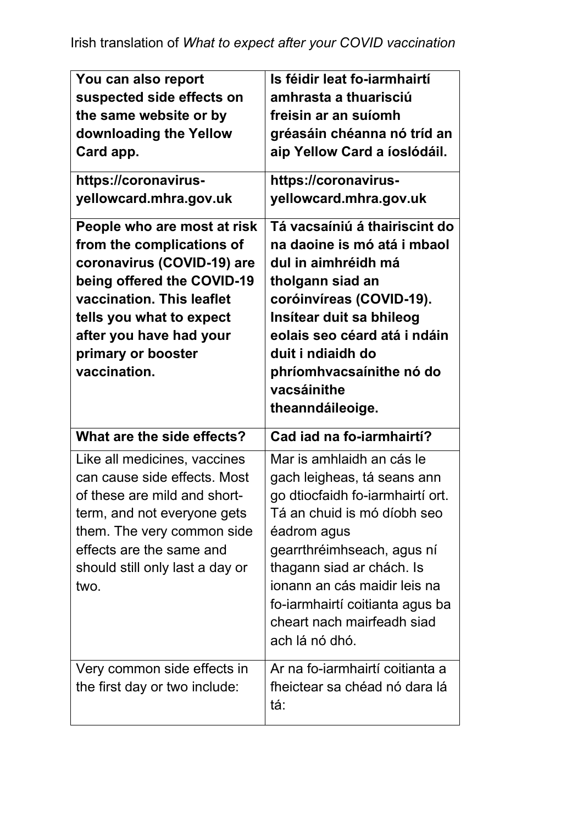| You can also report<br>suspected side effects on<br>the same website or by<br>downloading the Yellow<br>Card app.<br>https://coronavirus-<br>yellowcard.mhra.gov.uk<br>People who are most at risk<br>from the complications of<br>coronavirus (COVID-19) are<br>being offered the COVID-19<br>vaccination. This leaflet<br>tells you what to expect<br>after you have had your<br>primary or booster<br>vaccination. | Is féidir leat fo-iarmhairtí<br>amhrasta a thuarisciú<br>freisin ar an suíomh<br>gréasáin chéanna nó tríd an<br>aip Yellow Card a íoslódáil.<br>https://coronavirus-<br>yellowcard.mhra.gov.uk<br>Tá vacsaíniú á thairiscint do<br>na daoine is mó atá i mbaol<br>dul in aimhréidh má<br>tholgann siad an<br>coróinvíreas (COVID-19).<br>Insítear duit sa bhileog<br>eolais seo céard atá i ndáin<br>duit i ndiaidh do<br>phríomhvacsaínithe nó do<br>vacsáinithe<br>theanndáileoige. |
|-----------------------------------------------------------------------------------------------------------------------------------------------------------------------------------------------------------------------------------------------------------------------------------------------------------------------------------------------------------------------------------------------------------------------|---------------------------------------------------------------------------------------------------------------------------------------------------------------------------------------------------------------------------------------------------------------------------------------------------------------------------------------------------------------------------------------------------------------------------------------------------------------------------------------|
| What are the side effects?                                                                                                                                                                                                                                                                                                                                                                                            | Cad iad na fo-iarmhairtí?                                                                                                                                                                                                                                                                                                                                                                                                                                                             |
|                                                                                                                                                                                                                                                                                                                                                                                                                       |                                                                                                                                                                                                                                                                                                                                                                                                                                                                                       |
| Like all medicines, vaccines<br>can cause side effects. Most<br>of these are mild and short-<br>term, and not everyone gets<br>them. The very common side<br>effects are the same and<br>should still only last a day or<br>two.                                                                                                                                                                                      | Mar is amhlaidh an cás le<br>gach leigheas, tá seans ann<br>go dtiocfaidh fo-iarmhairtí ort.<br>Tá an chuid is mó díobh seo<br>éadrom agus<br>gearrthréimhseach, agus ní<br>thagann siad ar chách. Is<br>ionann an cás maidir leis na<br>fo-iarmhairtí coitianta agus ba<br>cheart nach mairfeadh siad<br>ach lá nó dhó.                                                                                                                                                              |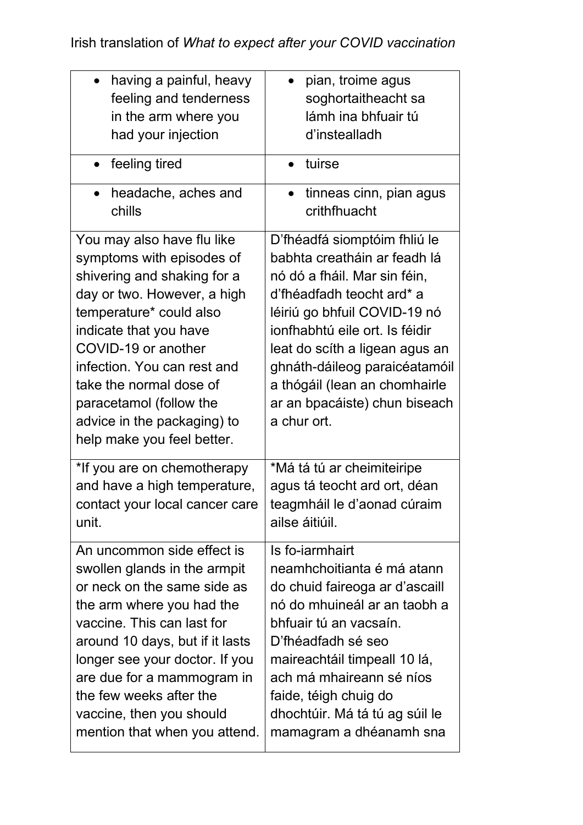| having a painful, heavy                                                                                                                                                                                                                                                                                                                             | pian, troime agus                                                                                                                                                                                                                                                                                                                               |
|-----------------------------------------------------------------------------------------------------------------------------------------------------------------------------------------------------------------------------------------------------------------------------------------------------------------------------------------------------|-------------------------------------------------------------------------------------------------------------------------------------------------------------------------------------------------------------------------------------------------------------------------------------------------------------------------------------------------|
| feeling and tenderness                                                                                                                                                                                                                                                                                                                              | soghortaitheacht sa                                                                                                                                                                                                                                                                                                                             |
| in the arm where you                                                                                                                                                                                                                                                                                                                                | lámh ina bhfuair tú                                                                                                                                                                                                                                                                                                                             |
| had your injection                                                                                                                                                                                                                                                                                                                                  | d'instealladh                                                                                                                                                                                                                                                                                                                                   |
| feeling tired                                                                                                                                                                                                                                                                                                                                       | tuirse                                                                                                                                                                                                                                                                                                                                          |
| headache, aches and<br>chills                                                                                                                                                                                                                                                                                                                       | tinneas cinn, pian agus<br>$\bullet$<br>crithfhuacht                                                                                                                                                                                                                                                                                            |
| You may also have flu like<br>symptoms with episodes of<br>shivering and shaking for a<br>day or two. However, a high<br>temperature* could also<br>indicate that you have<br>COVID-19 or another<br>infection. You can rest and<br>take the normal dose of<br>paracetamol (follow the<br>advice in the packaging) to<br>help make you feel better. | D'fhéadfá siomptóim fhliú le<br>babhta creatháin ar feadh lá<br>nó dó a fháil. Mar sin féin,<br>d'fhéadfadh teocht ard* a<br>léiriú go bhfuil COVID-19 nó<br>ionfhabhtú eile ort. Is féidir<br>leat do scíth a ligean agus an<br>ghnáth-dáileog paraicéatamóil<br>a thógáil (lean an chomhairle<br>ar an bpacáiste) chun biseach<br>a chur ort. |
| *If you are on chemotherapy                                                                                                                                                                                                                                                                                                                         | *Má tá tú ar cheimiteiripe                                                                                                                                                                                                                                                                                                                      |
| and have a high temperature,                                                                                                                                                                                                                                                                                                                        | agus tá teocht ard ort, déan                                                                                                                                                                                                                                                                                                                    |
| contact your local cancer care                                                                                                                                                                                                                                                                                                                      | teagmháil le d'aonad cúraim                                                                                                                                                                                                                                                                                                                     |
| unit.                                                                                                                                                                                                                                                                                                                                               | ailse áitiúil.                                                                                                                                                                                                                                                                                                                                  |
| An uncommon side effect is                                                                                                                                                                                                                                                                                                                          | Is fo-iarmhairt                                                                                                                                                                                                                                                                                                                                 |
| swollen glands in the armpit                                                                                                                                                                                                                                                                                                                        | neamhchoitianta é má atann                                                                                                                                                                                                                                                                                                                      |
| or neck on the same side as                                                                                                                                                                                                                                                                                                                         | do chuid faireoga ar d'ascaill                                                                                                                                                                                                                                                                                                                  |
| the arm where you had the                                                                                                                                                                                                                                                                                                                           | nó do mhuineál ar an taobh a                                                                                                                                                                                                                                                                                                                    |
| vaccine. This can last for                                                                                                                                                                                                                                                                                                                          | bhfuair tú an vacsaín.                                                                                                                                                                                                                                                                                                                          |
| around 10 days, but if it lasts                                                                                                                                                                                                                                                                                                                     | D'fhéadfadh sé seo                                                                                                                                                                                                                                                                                                                              |
| longer see your doctor. If you                                                                                                                                                                                                                                                                                                                      | maireachtáil timpeall 10 lá,                                                                                                                                                                                                                                                                                                                    |
| are due for a mammogram in                                                                                                                                                                                                                                                                                                                          | ach má mhaireann sé níos                                                                                                                                                                                                                                                                                                                        |
| the few weeks after the                                                                                                                                                                                                                                                                                                                             | faide, téigh chuig do                                                                                                                                                                                                                                                                                                                           |
| vaccine, then you should                                                                                                                                                                                                                                                                                                                            | dhochtúir. Má tá tú ag súil le                                                                                                                                                                                                                                                                                                                  |
| mention that when you attend.                                                                                                                                                                                                                                                                                                                       | mamagram a dhéanamh sna                                                                                                                                                                                                                                                                                                                         |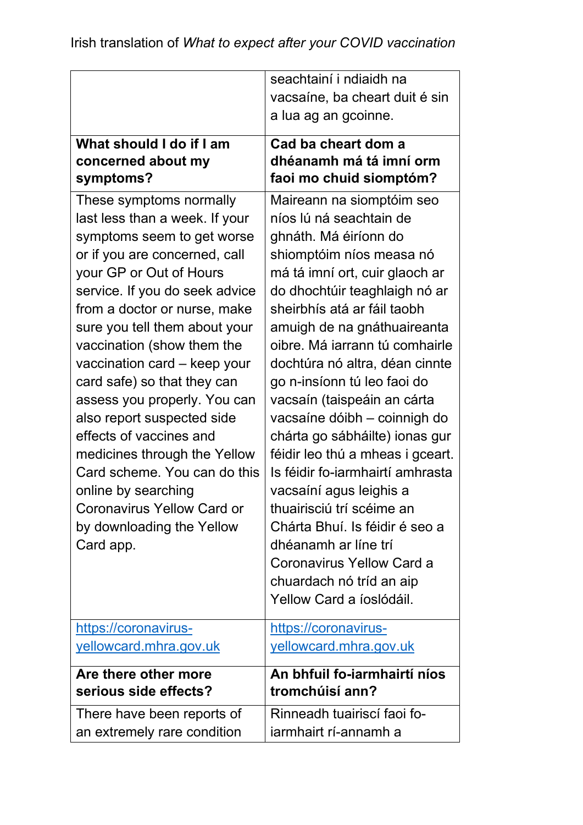|                                | seachtainí i ndiaidh na          |
|--------------------------------|----------------------------------|
|                                | vacsaíne, ba cheart duit é sin   |
|                                | a lua ag an gcoinne.             |
| What should I do if I am       | Cad ba cheart dom a              |
| concerned about my             | dhéanamh má tá imní orm          |
| symptoms?                      | faoi mo chuid siomptóm?          |
| These symptoms normally        | Maireann na siomptóim seo        |
| last less than a week. If your | níos lú ná seachtain de          |
| symptoms seem to get worse     | ghnáth. Má éiríonn do            |
| or if you are concerned, call  | shiomptóim níos measa nó         |
| your GP or Out of Hours        | má tá imní ort, cuir glaoch ar   |
| service. If you do seek advice | do dhochtúir teaghlaigh nó ar    |
| from a doctor or nurse, make   | sheirbhís atá ar fáil taobh      |
| sure you tell them about your  | amuigh de na gnáthuaireanta      |
| vaccination (show them the     | oibre. Má iarrann tú comhairle   |
| vaccination card - keep your   | dochtúra nó altra, déan cinnte   |
| card safe) so that they can    | go n-insíonn tú leo faoi do      |
| assess you properly. You can   | vacsaín (taispeáin an cárta      |
| also report suspected side     | vacsaíne dóibh - coinnigh do     |
| effects of vaccines and        | chárta go sábháilte) ionas gur   |
| medicines through the Yellow   | féidir leo thú a mheas i gceart. |
| Card scheme. You can do this   | Is féidir fo-iarmhairtí amhrasta |
| online by searching            | vacsaíní agus leighis a          |
| Coronavirus Yellow Card or     | thuairisciú trí scéime an        |
| by downloading the Yellow      | Chárta Bhuí. Is féidir é seo a   |
| Card app.                      | dhéanamh ar líne trí             |
|                                | Coronavirus Yellow Card a        |
|                                | chuardach nó tríd an aip         |
|                                | Yellow Card a <i>ioslódáil</i> . |
| https://coronavirus-           | https://coronavirus-             |
| yellowcard.mhra.gov.uk         | yellowcard.mhra.gov.uk           |
| Are there other more           | An bhfuil fo-iarmhairtí níos     |
| serious side effects?          | tromchúisí ann?                  |
| There have been reports of     | Rinneadh tuairiscí faoi fo-      |
| an extremely rare condition    | iarmhairt rí-annamh a            |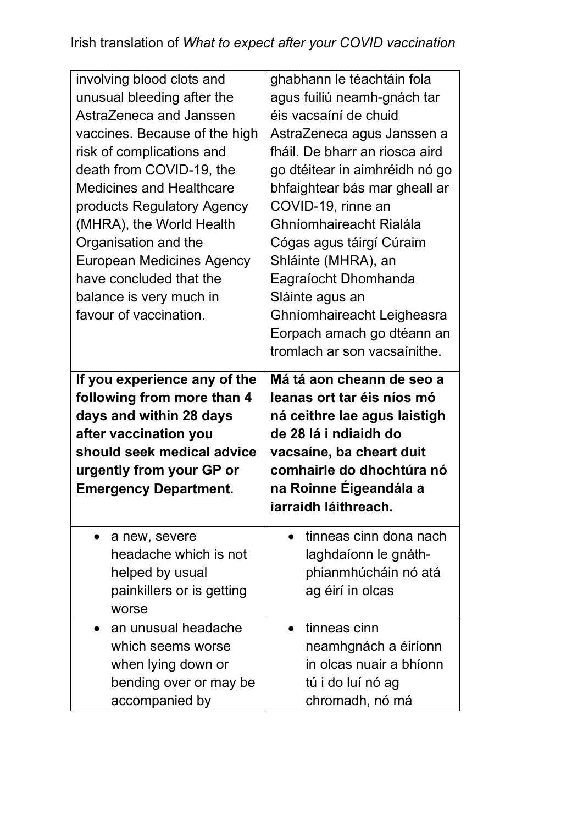| involving blood clots and<br>unusual bleeding after the<br>AstraZeneca and Janssen<br>vaccines. Because of the high<br>risk of complications and<br>death from COVID-19, the<br><b>Medicines and Healthcare</b><br>products Regulatory Agency<br>(MHRA), the World Health<br>Organisation and the<br><b>European Medicines Agency</b><br>have concluded that the<br>balance is very much in<br>favour of vaccination. | ghabhann le téachtáin fola<br>agus fuiliú neamh-gnách tar<br>éis vacsaíní de chuid<br>AstraZeneca agus Janssen a<br>fháil. De bharr an riosca aird<br>go dtéitear in aimhréidh nó go<br>bhfaightear bás mar gheall ar<br>COVID-19, rinne an<br>Ghníomhaireacht Rialála<br>Cógas agus táirgí Cúraim<br>Shláinte (MHRA), an<br>Eagraíocht Dhomhanda<br>Sláinte agus an<br>Ghníomhaireacht Leigheasra<br>Eorpach amach go dtéann an<br>tromlach ar son vacsaínithe. |
|-----------------------------------------------------------------------------------------------------------------------------------------------------------------------------------------------------------------------------------------------------------------------------------------------------------------------------------------------------------------------------------------------------------------------|------------------------------------------------------------------------------------------------------------------------------------------------------------------------------------------------------------------------------------------------------------------------------------------------------------------------------------------------------------------------------------------------------------------------------------------------------------------|
| If you experience any of the<br>following from more than 4<br>days and within 28 days                                                                                                                                                                                                                                                                                                                                 | Má tá aon cheann de seo a<br>leanas ort tar éis níos mó<br>ná ceithre lae agus laistigh                                                                                                                                                                                                                                                                                                                                                                          |
| after vaccination you<br>should seek medical advice<br>urgently from your GP or<br><b>Emergency Department.</b>                                                                                                                                                                                                                                                                                                       | de 28 lá i ndiaidh do<br>vacsaíne, ba cheart duit<br>comhairle do dhochtúra nó<br>na Roinne Éigeandála a<br>iarraidh láithreach.                                                                                                                                                                                                                                                                                                                                 |
| a new, severe<br>headache which is not<br>helped by usual<br>painkillers or is getting<br>worse                                                                                                                                                                                                                                                                                                                       | tinneas cinn dona nach<br>laghdaíonn le gnáth-<br>phianmhúcháin nó atá<br>ag éirí in olcas                                                                                                                                                                                                                                                                                                                                                                       |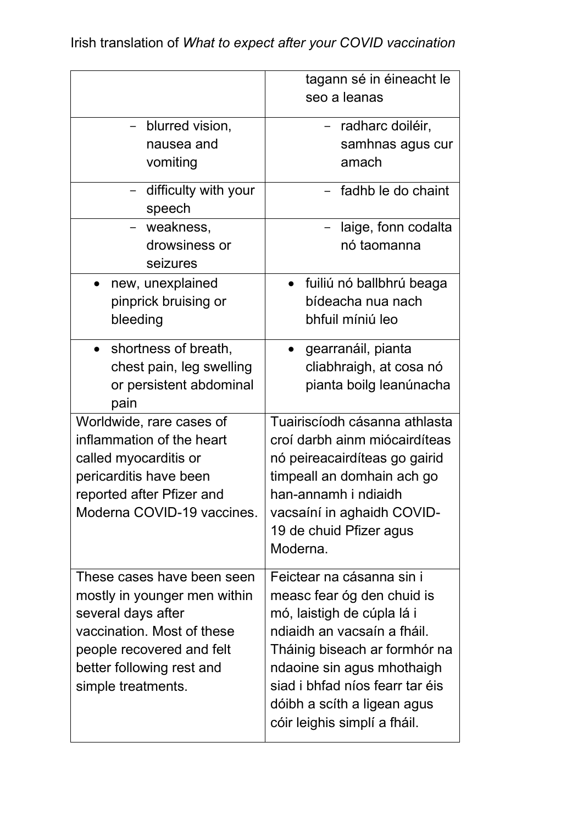|                                  | tagann sé in éineacht le              |
|----------------------------------|---------------------------------------|
|                                  | seo a leanas                          |
| blurred vision,                  | - radharc doiléir,                    |
| nausea and                       | samhnas agus cur                      |
| vomiting                         | amach                                 |
| - difficulty with your<br>speech | - fadhb le do chaint                  |
| - weakness,                      | laige, fonn codalta                   |
| drowsiness or<br>seizures        | nó taomanna                           |
| new, unexplained<br>$\bullet$    | fuiliú nó ballbhrú beaga<br>$\bullet$ |
| pinprick bruising or             | bídeacha nua nach                     |
| bleeding                         | bhfuil míniú leo                      |
| • shortness of breath,           | gearranáil, pianta                    |
| chest pain, leg swelling         | cliabhraigh, at cosa nó               |
| or persistent abdominal          | pianta boilg leanúnacha               |
| pain                             |                                       |
| Worldwide, rare cases of         | Tuairiscíodh cásanna athlasta         |
| inflammation of the heart        | croí darbh ainm miócairdíteas         |
| called myocarditis or            | nó peireacairdíteas go gairid         |
| pericarditis have been           | timpeall an domhain ach go            |
| reported after Pfizer and        | han-annamh i ndiaidh                  |
| Moderna COVID-19 vaccines.       | vacsaíní in aghaidh COVID-            |
|                                  | 19 de chuid Pfizer agus               |
|                                  | Moderna.                              |
| These cases have been seen       | Feictear na cásanna sin i             |
| mostly in younger men within     | measc fear óg den chuid is            |
| several days after               | mó, laistigh de cúpla lá i            |
| vaccination. Most of these       | ndiaidh an vacsaín a fháil.           |
| people recovered and felt        | Tháinig biseach ar formhór na         |
| better following rest and        | ndaoine sin agus mhothaigh            |
| simple treatments.               | siad i bhfad níos fearr tar éis       |
|                                  | dóibh a scíth a ligean agus           |
|                                  | cóir leighis simplí a fháil.          |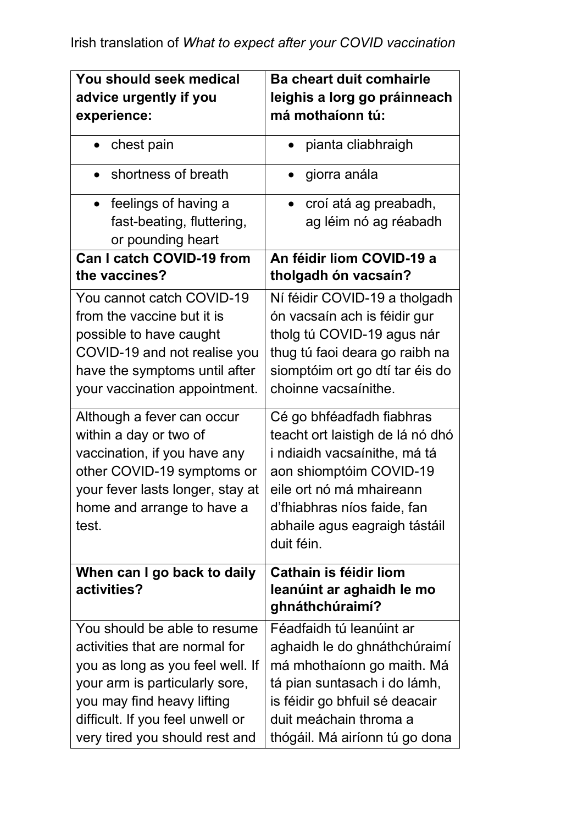| You should seek medical          | <b>Ba cheart duit comhairle</b>    |
|----------------------------------|------------------------------------|
| advice urgently if you           | leighis a lorg go práinneach       |
| experience:                      | má mothaíonn tú:                   |
| chest pain<br>$\bullet$          | pianta cliabhraigh                 |
| shortness of breath              | giorra anála                       |
| • feelings of having a           | croí atá ag preabadh,<br>$\bullet$ |
| fast-beating, fluttering,        | ag léim nó ag réabadh              |
| or pounding heart                |                                    |
| <b>Can I catch COVID-19 from</b> | An féidir liom COVID-19 a          |
| the vaccines?                    | tholgadh ón vacsaín?               |
| You cannot catch COVID-19        | Ní féidir COVID-19 a tholgadh      |
| from the vaccine but it is       | ón vacsaín ach is féidir gur       |
| possible to have caught          | tholg tú COVID-19 agus nár         |
| COVID-19 and not realise you     | thug tú faoi deara go raibh na     |
| have the symptoms until after    | siomptóim ort go dtí tar éis do    |
| your vaccination appointment.    | choinne vacsaínithe.               |
| Although a fever can occur       | Cé go bhféadfadh fiabhras          |
| within a day or two of           | teacht ort laistigh de lá nó dhó   |
| vaccination, if you have any     | i ndiaidh vacsaínithe, má tá       |
| other COVID-19 symptoms or       | aon shiomptóim COVID-19            |
| your fever lasts longer, stay at | eile ort nó má mhaireann           |
| home and arrange to have a       | d'fhiabhras níos faide, fan        |
| test.                            | abhaile agus eagraigh tástáil      |
|                                  | duit féin.                         |
| When can I go back to daily      | Cathain is féidir liom             |
| activities?                      | leanúint ar aghaidh le mo          |
|                                  | ghnáthchúraimí?                    |
| You should be able to resume     | Féadfaidh tú leanúint ar           |
| activities that are normal for   | aghaidh le do ghnáthchúraimí       |
| you as long as you feel well. If | má mhothaíonn go maith. Má         |
| your arm is particularly sore,   | tá pian suntasach i do lámh,       |
| you may find heavy lifting       | is féidir go bhfuil sé deacair     |
| difficult. If you feel unwell or | duit meáchain throma a             |
| very tired you should rest and   | thógáil. Má airíonn tú go dona     |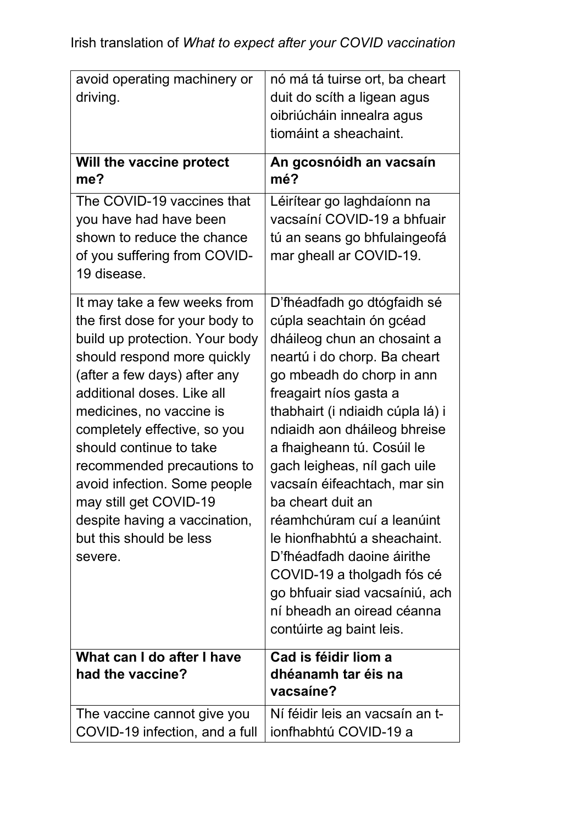| avoid operating machinery or<br>driving.                                                                                                                                                                                                                                                                                                                                                                                                             | nó má tá tuirse ort, ba cheart<br>duit do scíth a ligean agus<br>oibriúcháin innealra agus<br>tiomáint a sheachaint.                                                                                                                                                                                                                                                                                                                                                                                                                                                                       |
|------------------------------------------------------------------------------------------------------------------------------------------------------------------------------------------------------------------------------------------------------------------------------------------------------------------------------------------------------------------------------------------------------------------------------------------------------|--------------------------------------------------------------------------------------------------------------------------------------------------------------------------------------------------------------------------------------------------------------------------------------------------------------------------------------------------------------------------------------------------------------------------------------------------------------------------------------------------------------------------------------------------------------------------------------------|
| Will the vaccine protect<br>me?                                                                                                                                                                                                                                                                                                                                                                                                                      | An gcosnóidh an vacsaín<br>mé?                                                                                                                                                                                                                                                                                                                                                                                                                                                                                                                                                             |
| The COVID-19 vaccines that<br>you have had have been<br>shown to reduce the chance<br>of you suffering from COVID-<br>19 disease.                                                                                                                                                                                                                                                                                                                    | Léirítear go laghdaíonn na<br>vacsaíní COVID-19 a bhfuair<br>tú an seans go bhfulaingeofá<br>mar gheall ar COVID-19.                                                                                                                                                                                                                                                                                                                                                                                                                                                                       |
| It may take a few weeks from<br>the first dose for your body to<br>build up protection. Your body<br>should respond more quickly<br>(after a few days) after any<br>additional doses. Like all<br>medicines, no vaccine is<br>completely effective, so you<br>should continue to take<br>recommended precautions to<br>avoid infection. Some people<br>may still get COVID-19<br>despite having a vaccination,<br>but this should be less<br>severe. | D'fhéadfadh go dtógfaidh sé<br>cúpla seachtain ón gcéad<br>dháileog chun an chosaint a<br>neartú i do chorp. Ba cheart<br>go mbeadh do chorp in ann<br>freagairt níos gasta a<br>thabhairt (i ndiaidh cúpla lá) i<br>ndiaidh aon dháileog bhreise<br>a fhaigheann tú. Cosúil le<br>gach leigheas, níl gach uile<br>vacsaín éifeachtach, mar sin<br>ba cheart duit an<br>réamhchúram cuí a leanúint<br>le hionfhabhtú a sheachaint.<br>D'fhéadfadh daoine áirithe<br>COVID-19 a tholgadh fós cé<br>go bhfuair siad vacsaíniú, ach<br>ní bheadh an oiread céanna<br>contúirte ag baint leis. |
| What can I do after I have<br>had the vaccine?                                                                                                                                                                                                                                                                                                                                                                                                       | Cad is féidir liom a<br>dhéanamh tar éis na<br>vacsaine?                                                                                                                                                                                                                                                                                                                                                                                                                                                                                                                                   |
| The vaccine cannot give you<br>COVID-19 infection, and a full                                                                                                                                                                                                                                                                                                                                                                                        | Ní féidir leis an vacsaín an t-<br>ionfhabhtú COVID-19 a                                                                                                                                                                                                                                                                                                                                                                                                                                                                                                                                   |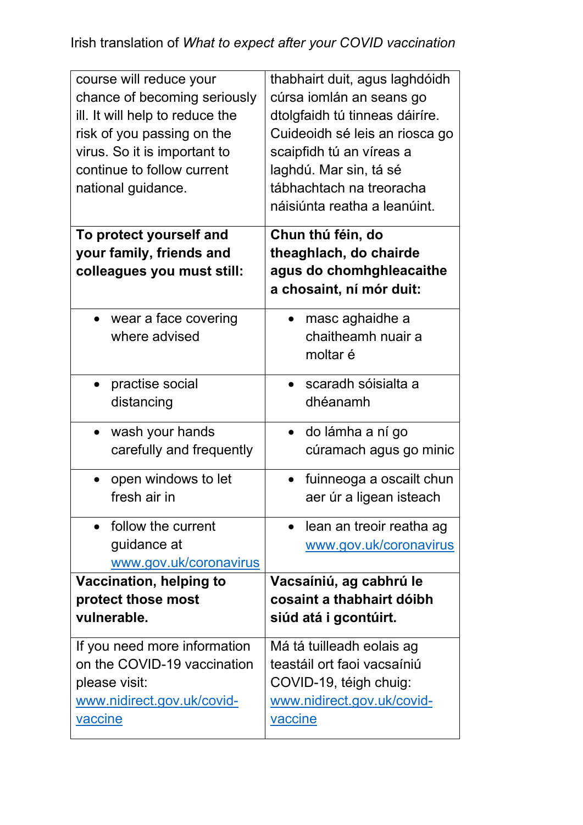| course will reduce your<br>chance of becoming seriously<br>ill. It will help to reduce the<br>risk of you passing on the<br>virus. So it is important to<br>continue to follow current<br>national guidance. | thabhairt duit, agus laghdóidh<br>cúrsa iomlán an seans go<br>dtolgfaidh tú tinneas dáiríre.<br>Cuideoidh sé leis an riosca go<br>scaipfidh tú an víreas a<br>laghdú. Mar sin, tá sé<br>tábhachtach na treoracha<br>náisiúnta reatha a leanúint. |
|--------------------------------------------------------------------------------------------------------------------------------------------------------------------------------------------------------------|--------------------------------------------------------------------------------------------------------------------------------------------------------------------------------------------------------------------------------------------------|
| To protect yourself and<br>your family, friends and<br>colleagues you must still:                                                                                                                            | Chun thú féin, do<br>theaghlach, do chairde<br>agus do chomhghleacaithe<br>a chosaint, ní mór duit:                                                                                                                                              |
| • wear a face covering<br>where advised                                                                                                                                                                      | masc aghaidhe a<br>chaitheamh nuair a<br>moltar é                                                                                                                                                                                                |
| practise social<br>distancing                                                                                                                                                                                | scaradh sóisialta a<br>dhéanamh                                                                                                                                                                                                                  |
| wash your hands<br>carefully and frequently                                                                                                                                                                  | do lámha a ní go<br>$\bullet$<br>cúramach agus go minic                                                                                                                                                                                          |
| open windows to let<br>fresh air in                                                                                                                                                                          | fuinneoga a oscailt chun<br>aer úr a ligean isteach                                                                                                                                                                                              |
| follow the current<br>guidance at<br>www.gov.uk/coronavirus                                                                                                                                                  | lean an treoir reatha ag<br>www.gov.uk/coronavirus                                                                                                                                                                                               |
| <b>Vaccination, helping to</b><br>protect those most<br>vulnerable.                                                                                                                                          | Vacsaíniú, ag cabhrú le<br>cosaint a thabhairt dóibh<br>siúd atá i gcontúirt.                                                                                                                                                                    |
| If you need more information<br>on the COVID-19 vaccination<br>please visit:<br>www.nidirect.gov.uk/covid-<br>vaccine                                                                                        | Má tá tuilleadh eolais ag<br>teastáil ort faoi vacsaíniú<br>COVID-19, téigh chuig:<br>www.nidirect.gov.uk/covid-<br><u>vaccine</u>                                                                                                               |